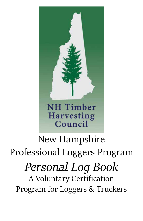

# New Hampshire Professional Loggers Program *Personal Log Book* A Voluntary Certification Program for Loggers & Truckers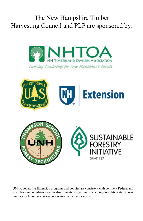### The New Hampshire Timber Harvesting Council and PLP are sponsored by:





UNH Cooperative Extension programs and policies are consistent with pertinent Federal and State laws and regulations on nondiscrimination regarding age, color, disability, national origin, race, religion, sex, sexual orientation or veteran's status.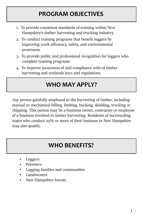### **PROGRAM OBJECTIVES**

- 1. To provide consistent standards of training within New Hampshire's timber harvesting and trucking industry.
- 2. To conduct training programs that benefit loggers by improving work efficiency, safety, and environmental awareness.
- 3. To provide public and professional recognition for loggers who complete training programs.
- 4. To improve awareness of and compliance with of timber harvesting and wetlands laws and regulations.

### **WHO MAY APPLY?**

Any person gainfully employed in the harvesting of timber, including manual or mechanical felling, limbing, bucking, skidding, trucking or chipping. This person may be a business owner, contractor or employee of a business involved in timber harvesting. Residents of surrounding states who conduct 25% or more of their business in New Hampshire may also qualify.

### **WHO BENEFITS?**

- Loggers
- **Foresters**
- Logging families and communities
- **Landowners**
- New Hampshire forests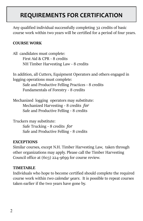### **REQUIREMENTS FOR CERTIFICATION**

Any qualified individual successfully completing 32 credits of basic course work within two years will be certified for a period of four years.

#### **COURSE WORK**

All candidates must complete: First Aid & CPR - 8 credits NH Timber Harvesting Law - 8 credits

In addition, all Cutters, Equipment Operators and others engaged in logging operations must complete: Safe and Productive Felling Practices - 8 credits Fundamentals of Forestry - 8 credits

Mechanized logging operators may substitute: Mechanized Harvesting - 8 credits *for* Safe and Productive Felling - 8 credits

Truckers may substitute: Safe Trucking - 8 credits *for* Safe and Productive Felling - 8 credits

#### **EXCEPTIONS**

Similar courses, except N.H. Timber Harvesting Law, taken through other organizations may apply. Please call the Timber Harvesting Council office at (603) 224-9699 for course review.

#### **TIMETABLE**

Individuals who hope to become certified should complete the required course work within *two calendar years*. It is possible to repeat courses taken earlier if the two years have gone by.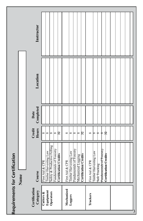|                                        | Instructor                |                                                                                                                                           |                                                                                                                            |                                                                                                                |   |
|----------------------------------------|---------------------------|-------------------------------------------------------------------------------------------------------------------------------------------|----------------------------------------------------------------------------------------------------------------------------|----------------------------------------------------------------------------------------------------------------|---|
|                                        | Location                  |                                                                                                                                           |                                                                                                                            |                                                                                                                |   |
|                                        | Date<br>Completed         |                                                                                                                                           |                                                                                                                            |                                                                                                                |   |
|                                        | Credit<br>Hours           | $\overline{32}$<br>$\infty$<br>$\infty$<br>∞<br>∞                                                                                         | $\mathbb{E}$<br>∞<br>∞<br>∞<br>∞                                                                                           | क्षे<br>∞<br>ф<br>ф<br>∞                                                                                       |   |
| Requirements for Certification<br>Name | Course                    | Safety & Productive Felling<br>Fundamentals of Forestry<br>Timber Harvesting Law<br><b>Certification Credits</b><br>$\&$ CPR<br>First Aid | Fundamentals of Forestry<br>First Aid & CPR<br>Timber Harvesting Law<br><b>Certification Credits</b><br>Mechanized Logging | Fundamentals of Forestry<br>Timber Harvesting Law<br>Certification Credits<br>First Aid & CPR<br>Safe Trucking |   |
|                                        | Certification<br>Category | Equipment<br>Operators<br>Cutters &                                                                                                       | Mechanized<br>Loggers                                                                                                      | Truckers                                                                                                       | 3 |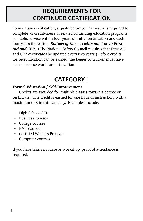### **REQUIREMENTS FOR CONTINUED CERTIFICATION**

To maintain certification, a qualified timber harvester is required to complete 32 credit-hours of related continuing education programs or public service within four years of initial certification and each four years thereafter. *Sixteen of those credits must be in First Aid and CPR*. (The National Safety Council requires that First Aid and CPR certificates be updated every two years.) Before credits for recertification can be earned, the logger or trucker must have started course work for certification.

### **CATEGORY I**

#### **Formal Education / Self-Improvement**

Credits are awarded for multiple classes toward a degree or certificate. One credit is earned for one hour of instruction, with a maximum of 8 in this category. Examples include:

- High School GED
- Business courses
- College courses
- EMT courses
- Certified Welders Program
- Computer courses

If you have taken a course or workshop, proof of attendance is required.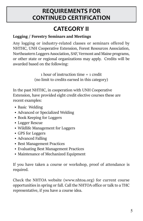#### **REQUIREMENTS FOR CONTINUED CERTIFICATION**

## **CATEGORY II**

#### **Logging / Forestry Seminars and Meetings**

Any logging or industry-related classes or seminars offered by NHTHC, UNH Cooperative Extension, Forest Resources Association, Northeastern Loggers Association, SAF, Vermont and Maine programs, or other state or regional organizations may apply. Credits will be awarded based on the following:

> 1 hour of instruction time = 1 credit (no limit to credits earned in this category)

In the past NHTHC, in cooperation with UNH Cooperative Extension, have provided eight credit elective courses these are recent examples:

- Basic Welding
- Advanced or Specialized Welding
- Book Keeping for Loggers
- Logger Rescue
- Wildlife Management for Loggers
- GPS for Loggers
- Advanced Falling
- Best Management Practices
- Evaluating Best Management Practices
- Maintenance of Mechanized Equipment

If you have taken a course or workshop, proof of attendance is required.

Check the NHTOA website (www.nhtoa.org) for current course opportunities in spring or fall. Call the NHTOA office or talk to a THC representative, if you have a course idea.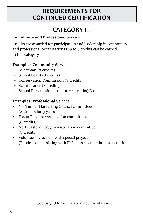#### **REQUIREMENTS FOR REQUIREMENTS FOR CONTINUED CERTIFICATION CONTINUED CERTIFICATION**

### **CATEGORY III**

#### **Community and Professional Service**

Credits are awarded for participation and leadership in community and professional organizations (up to 8 credits can be earned in this category).

#### **Examples: Community Service**

- Selectman (8 credits)
- School Board (8 credits)
- Conservation Commission (8 credits)
- Scout Leader (8 credits)
- School Presentations (1 hour = 2 credits) Etc.

#### **Examples: Professional Service**

- NH Timber Harvesting Council committees (8 Credits for 3 years)
- Forest Resource Association committees (8 credits)
- Northeastern Loggers Association committee (8 credits)
- Volunteering to help with special projects (Fundraisers, assisting with PLP classes, etc., 1 hour = 1 credit)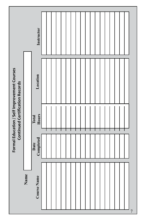|                                             |      | Instructor        |  |  |  |  |  |  |  |                |
|---------------------------------------------|------|-------------------|--|--|--|--|--|--|--|----------------|
| Formal Education / Self Improvement Courses |      | Location          |  |  |  |  |  |  |  |                |
| <b>Continued Certification Records</b>      |      | Hours<br>Total    |  |  |  |  |  |  |  |                |
|                                             |      | Date<br>Completed |  |  |  |  |  |  |  |                |
|                                             | Name | Course Name       |  |  |  |  |  |  |  | $\overline{7}$ |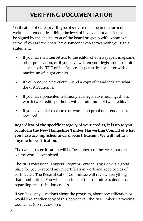### **VERIFYING DOCUMENTATION**

Verification of Category III type of service must be in the form of a written statement describing the level of involvement and it must be signed by the chairperson of the board or group with whom you serve. If you are the chair, have someone who serves with you sign a statement.

- If you have written letters to the editor of a newspaper, magazine, other publication, or if you have written your legislators, submit copies to the THC office. One credit per article or letter with a maximum of eight credits.
- If you produce a newsletter, send a copy of it and indicate what the distribution is.
- If you have presented testimony at a legislative hearing, this is worth two credits per hour, with a minimum of two credits.
- If you have taken a course or workshop proof of attendance is required.

**Regardless of the specific category of your credits, it is up to you to inform the New Hampshire Timber Harvesting Council of what you have accomplished toward recertification. We will not call anyone for verification.**

The date of recertification will be December 1 of the year that the course work is completed.

The NH Professional Loggers Program Personal Log Book is a great place for you to record any recertification work and keep copies of certificates. The Recertification Committee will review everything that is submitted. You will be notified of the committee's decisions regarding recertification credits.

If you have any questions about the program, about recertification or would like another copy of this booklet call the NH Timber Harvesting Council at (603) 224-9699.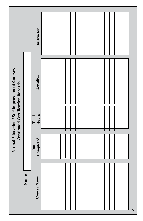|                                                                                |      | Instructor        |  |  |  |  |  |  |  |  |   |
|--------------------------------------------------------------------------------|------|-------------------|--|--|--|--|--|--|--|--|---|
| Formal Education / Self Improvement Courses<br>Continued Certification Records |      | Location          |  |  |  |  |  |  |  |  |   |
|                                                                                |      | Hours<br>Total    |  |  |  |  |  |  |  |  |   |
|                                                                                |      | Date<br>Completed |  |  |  |  |  |  |  |  |   |
|                                                                                | Name | Course Name       |  |  |  |  |  |  |  |  | 9 |